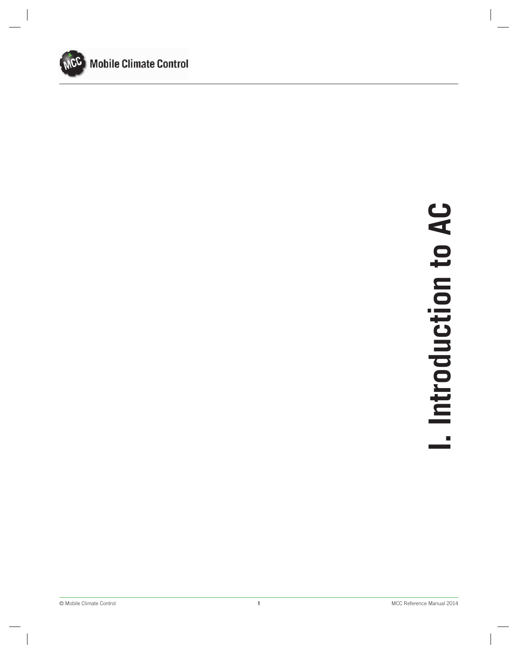

# **1** MCC Reference Manual 2014 **I. Introduction to AC**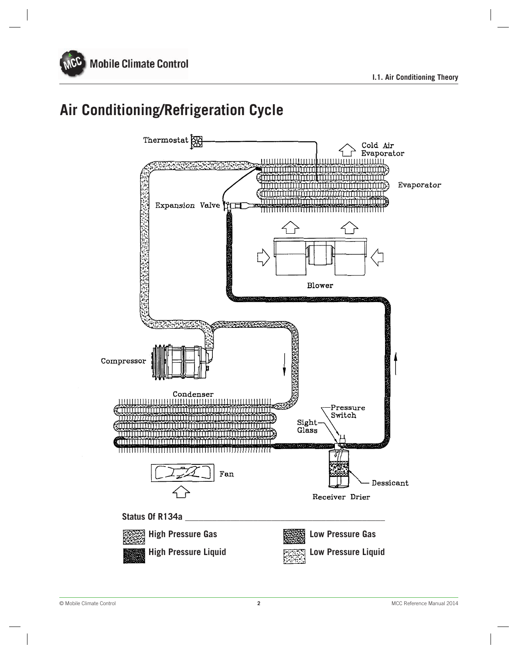

# **Air Conditioning/Refrigeration Cycle**

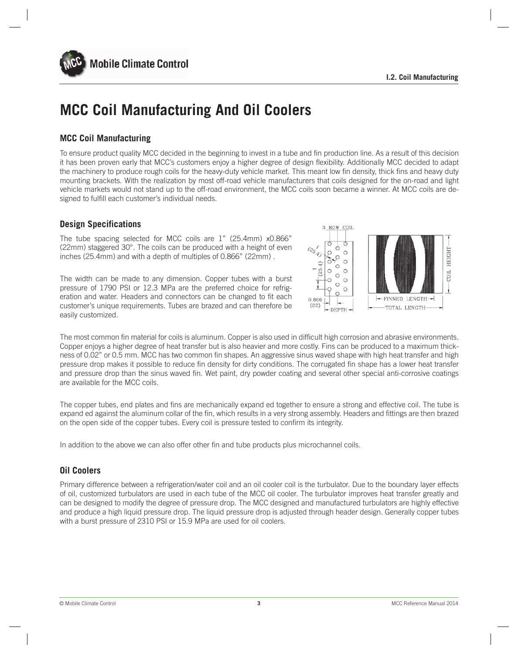

# **MCC Coil Manufacturing And Oil Coolers**

### **MCC Coil Manufacturing**

To ensure product quality MCC decided in the beginning to invest in a tube and fin production line. As a result of this decision it has been proven early that MCC's customers enjoy a higher degree of design flexibility. Additionally MCC decided to adapt the machinery to produce rough coils for the heavy-duty vehicle market. This meant low fin density, thick fins and heavy duty mounting brackets. With the realization by most off-road vehicle manufacturers that coils designed for the on-road and light vehicle markets would not stand up to the off-road environment, the MCC coils soon became a winner. At MCC coils are designed to fulfill each customer's individual needs.

### **Design Specifications**

The tube spacing selected for MCC coils are 1" (25.4mm) x0.866" (22mm) staggered 30°. The coils can be produced with a height of even inches (25.4mm) and with a depth of multiples of 0.866" (22mm) .

The width can be made to any dimension. Copper tubes with a burst pressure of 1790 PSI or 12.3 MPa are the preferred choice for refrigeration and water. Headers and connectors can be changed to fit each customer's unique requirements. Tubes are brazed and can therefore be easily customized.



The most common fin material for coils is aluminum. Copper is also used in difficult high corrosion and abrasive environments. Copper enjoys a higher degree of heat transfer but is also heavier and more costly. Fins can be produced to a maximum thickness of 0.02" or 0.5 mm. MCC has two common fin shapes. An aggressive sinus waved shape with high heat transfer and high pressure drop makes it possible to reduce fin density for dirty conditions. The corrugated fin shape has a lower heat transfer and pressure drop than the sinus waved fin. Wet paint, dry powder coating and several other special anti-corrosive coatings are available for the MCC coils.

The copper tubes, end plates and fins are mechanically expand ed together to ensure a strong and effective coil. The tube is expand ed against the aluminum collar of the fin, which results in a very strong assembly. Headers and fittings are then brazed on the open side of the copper tubes. Every coil is pressure tested to confirm its integrity.

In addition to the above we can also offer other fin and tube products plus microchannel coils.

### **Oil Coolers**

Primary difference between a refrigeration/water coil and an oil cooler coil is the turbulator. Due to the boundary layer effects of oil, customized turbulators are used in each tube of the MCC oil cooler. The turbulator improves heat transfer greatly and can be designed to modify the degree of pressure drop. The MCC designed and manufactured turbulators are highly effective and produce a high liquid pressure drop. The liquid pressure drop is adjusted through header design. Generally copper tubes with a burst pressure of 2310 PSI or 15.9 MPa are used for oil coolers.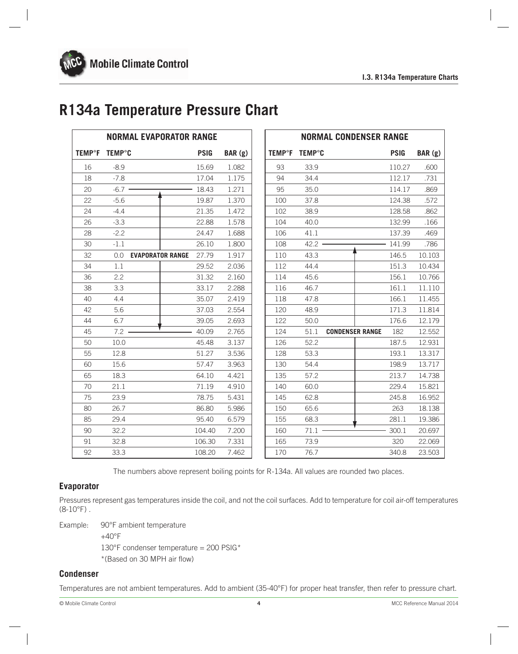# **R134a Temperature Pressure Chart**

|                          |               | <b>NORMAL EVAPORATOR RANGE</b> |             |         |                          |               | <b>NORMAL CONDENSER RANGE</b> |             |        |
|--------------------------|---------------|--------------------------------|-------------|---------|--------------------------|---------------|-------------------------------|-------------|--------|
| <b>TEMP<sup>o</sup>F</b> | <b>TEMP°C</b> |                                | <b>PSIG</b> | BAR (g) | <b>TEMP<sup>o</sup>F</b> | <b>TEMP°C</b> |                               | <b>PSIG</b> | BAR(g) |
| 16                       | $-8.9$        |                                | 15.69       | 1.082   | 93                       | 33.9          |                               | 110.27      | .600   |
| 18                       | $-7.8$        |                                | 17.04       | 1.175   | 94                       | 34.4          |                               | 112.17      | .731   |
| 20                       | $-6.7$        |                                | 18.43       | 1.271   | 95                       | 35.0          |                               | 114.17      | .869   |
| 22                       | $-5.6$        |                                | 19.87       | 1.370   | 100                      | 37.8          |                               | 124.38      | .572   |
| 24                       | $-4.4$        |                                | 21.35       | 1.472   | 102                      | 38.9          |                               | 128.58      | .862   |
| 26                       | $-3.3$        |                                | 22.88       | 1.578   | 104                      | 40.0          |                               | 132.99      | .166   |
| 28                       | $-2.2$        |                                | 24.47       | 1.688   | 106                      | 41.1          |                               | 137.39      | .469   |
| 30                       | $-1.1$        |                                | 26.10       | 1.800   | 108                      | 42.2          |                               | 141.99      | .786   |
| 32                       | 0.0           | <b>EVAPORATOR RANGE</b>        | 27.79       | 1.917   | 110                      | 43.3          |                               | 146.5       | 10.103 |
| 34                       | 1.1           |                                | 29.52       | 2.036   | 112                      | 44.4          |                               | 151.3       | 10.434 |
| 36                       | 2.2           |                                | 31.32       | 2.160   | 114                      | 45.6          |                               | 156.1       | 10.766 |
| 38                       | 3.3           |                                | 33.17       | 2.288   | 116                      | 46.7          |                               | 161.1       | 11.110 |
| 40                       | 4.4           |                                | 35.07       | 2.419   | 118                      | 47.8          |                               | 166.1       | 11.455 |
| 42                       | 5.6           |                                | 37.03       | 2.554   | 120                      | 48.9          |                               | 171.3       | 11.814 |
| 44                       | 6.7           |                                | 39.05       | 2.693   | 122                      | 50.0          |                               | 176.6       | 12.179 |
| 45                       | 7.2           |                                | 40.09       | 2.765   | 124                      | 51.1          | <b>CONDENSER RANGE</b>        | 182         | 12.552 |
| 50                       | 10.0          |                                | 45.48       | 3.137   | 126                      | 52.2          |                               | 187.5       | 12.931 |
| 55                       | 12.8          |                                | 51.27       | 3.536   | 128                      | 53.3          |                               | 193.1       | 13.317 |
| 60                       | 15.6          |                                | 57.47       | 3.963   | 130                      | 54.4          |                               | 198.9       | 13.717 |
| 65                       | 18.3          |                                | 64.10       | 4.421   | 135                      | 57.2          |                               | 213.7       | 14.738 |
| 70                       | 21.1          |                                | 71.19       | 4.910   | 140                      | 60.0          |                               | 229.4       | 15.821 |
| 75                       | 23.9          |                                | 78.75       | 5.431   | 145                      | 62.8          |                               | 245.8       | 16.952 |
| 80                       | 26.7          |                                | 86.80       | 5.986   | 150                      | 65.6          |                               | 263         | 18.138 |
| 85                       | 29.4          |                                | 95.40       | 6.579   | 155                      | 68.3          |                               | 281.1       | 19.386 |
| 90                       | 32.2          |                                | 104.40      | 7.200   | 160                      | 71.1          |                               | 300.1       | 20.697 |
| 91                       | 32.8          |                                | 106.30      | 7.331   | 165                      | 73.9          |                               | 320         | 22.069 |
| 92                       | 33.3          |                                | 108.20      | 7.462   | 170                      | 76.7          |                               | 340.8       | 23.503 |

The numbers above represent boiling points for R-134a. All values are rounded two places.

### **Evaporator**

Pressures represent gas temperatures inside the coil, and not the coil surfaces. Add to temperature for coil air-off temperatures  $(8-10^{\circ}F)$ .

Example: 90°F ambient temperature

+40°F 130°F condenser temperature = 200 PSIG\* \*(Based on 30 MPH air flow)

### **Condenser**

Temperatures are not ambient temperatures. Add to ambient (35-40°F) for proper heat transfer, then refer to pressure chart.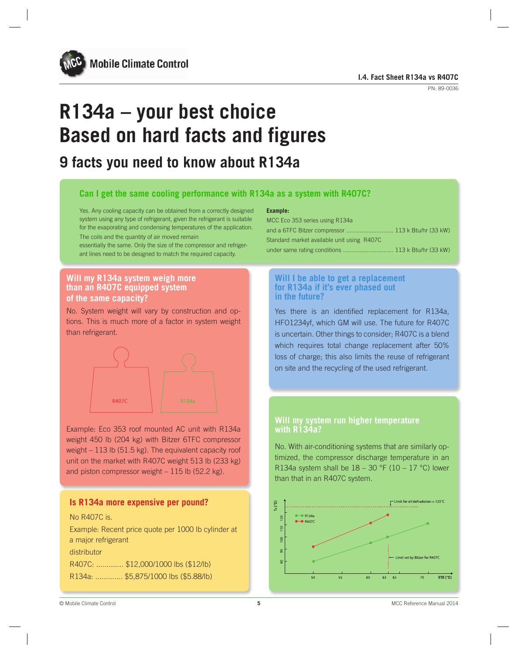

# **R134a – your best choice Based on hard facts and figures**

# **9 facts you need to know about R134a**

### **Can I get the same cooling performance with R134a as a system with R407C?**

Yes. Any cooling capacity can be obtained from a correctly designed system using any type of refrigerant, given the refrigerant is suitable for the evaporating and condensing temperatures of the application. The coils and the quantity of air moved remain

essentially the same. Only the size of the compressor and refrigerant lines need to be designed to match the required capacity.

### **Will my R134a system weigh more than an R407C equipped system of the same capacity?**

No. System weight will vary by construction and options. This is much more of a factor in system weight than refrigerant.



Example: Eco 353 roof mounted AC unit with R134a weight 450 lb (204 kg) with Bitzer 6TFC compressor weight – 113 lb (51.5 kg). The equivalent capacity roof unit on the market with R407C weight 513 lb (233 kg) and piston compressor weight – 115 lb (52.2 kg).

### **Is R134a more expensive per pound?**

### No R407C is.

Example: Recent price quote per 1000 lb cylinder at a major refrigerant

distributor

R407C: ............. \$12,000/1000 lbs (\$12/lb) R134a: ............. \$5,875/1000 lbs (\$5.88/lb)

### **Example:**

| MCC Eco 353 series using R134a                     |  |
|----------------------------------------------------|--|
| and a 6TFC Bitzer compressor  113 k Btu/hr (33 kW) |  |
| Standard market available unit using R407C         |  |
| under same rating conditions  113 k Btu/hr (33 kW) |  |

### **Will I be able to get a replacement for R134a if it's ever phased out in the future?**

Yes there is an identified replacement for R134a, HFO1234yf, which GM will use. The future for R407C is uncertain. Other things to consider; R407C is a blend which requires total change replacement after 50% loss of charge; this also limits the reuse of refrigerant on site and the recycling of the used refrigerant.

### **Will my system run higher temperature with R134a?**

No. With air-conditioning systems that are similarly optimized, the compressor discharge temperature in an R134a system shall be  $18 - 30$  °F (10 – 17 °C) lower than that in an R407C system.

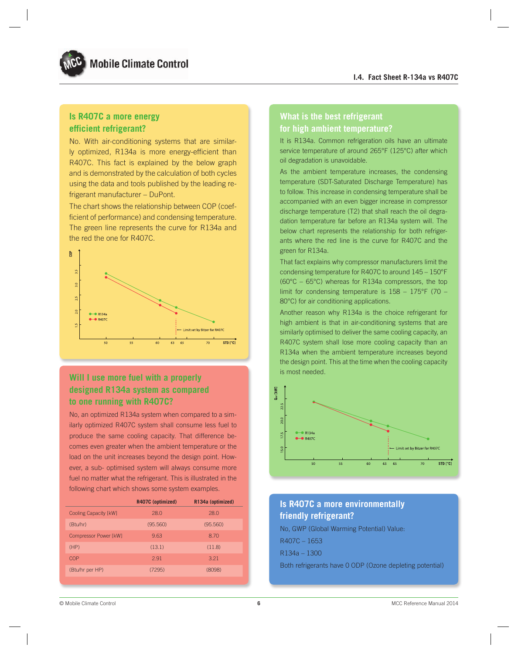### **Is R407C a more energy efficient refrigerant?**

No. With air-conditioning systems that are similarly optimized, R134a is more energy-efficient than R407C. This fact is explained by the below graph and is demonstrated by the calculation of both cycles using the data and tools published by the leading refrigerant manufacturer – DuPont.

The chart shows the relationship between COP (coefficient of performance) and condensing temperature. The green line represents the curve for R134a and the red the one for R407C.



### **Will I use more fuel with a properly designed R134a system as compared to one running with R407C?**

No, an optimized R134a system when compared to a similarly optimized R407C system shall consume less fuel to produce the same cooling capacity. That difference becomes even greater when the ambient temperature or the load on the unit increases beyond the design point. However, a sub- optimised system will always consume more fuel no matter what the refrigerant. This is illustrated in the following chart which shows some system examples.

|                              | R407C (optimized) | R134a (optimized) |
|------------------------------|-------------------|-------------------|
| <b>Cooling Capacity [kW]</b> | 28.0              | 28.0              |
| (Btu/hr)                     | (95.560)          | (95.560)          |
| Compressor Power [kW]        | 9.63              | 8.70              |
| (HP)                         | (13.1)            | (11.8)            |
| COP                          | 2.91              | 3.21              |
| (Btu/hr per HP)              | (7295)            | (8098)            |
|                              |                   |                   |

### **What is the best refrigerant for high ambient temperature?**

It is R134a. Common refrigeration oils have an ultimate service temperature of around 265°F (125°C) after which oil degradation is unavoidable.

As the ambient temperature increases, the condensing temperature (SDT-Saturated Discharge Temperature) has to follow. This increase in condensing temperature shall be accompanied with an even bigger increase in compressor discharge temperature (T2) that shall reach the oil degradation temperature far before an R134a system will. The below chart represents the relationship for both refrigerants where the red line is the curve for R407C and the green for R134a.

That fact explains why compressor manufacturers limit the condensing temperature for R407C to around 145 – 150°F (60°C – 65°C) whereas for R134a compressors, the top limit for condensing temperature is  $158 - 175$ °F (70 – 80°C) for air conditioning applications.

Another reason why R134a is the choice refrigerant for high ambient is that in air-conditioning systems that are similarly optimised to deliver the same cooling capacity, an R407C system shall lose more cooling capacity than an R134a when the ambient temperature increases beyond the design point. This at the time when the cooling capacity is most needed.



## **Is R407C a more environmentally friendly refrigerant?**

No, GWP (Global Warming Potential) Value: R407C – 1653 R134a – 1300 Both refrigerants have 0 ODP (Ozone depleting potential)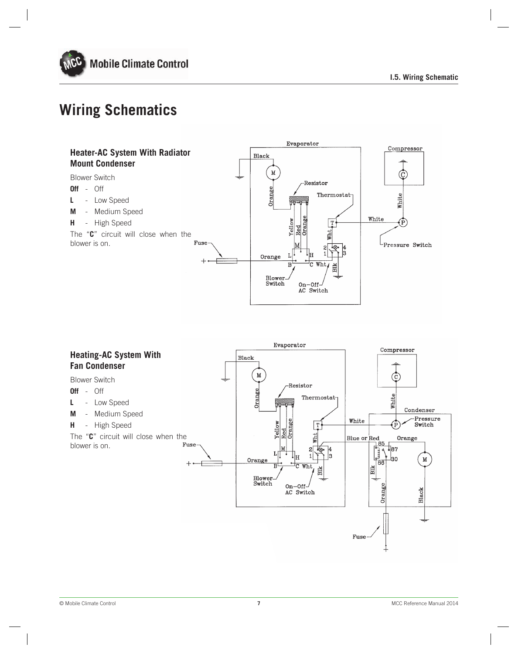

# **Wiring Schematics**



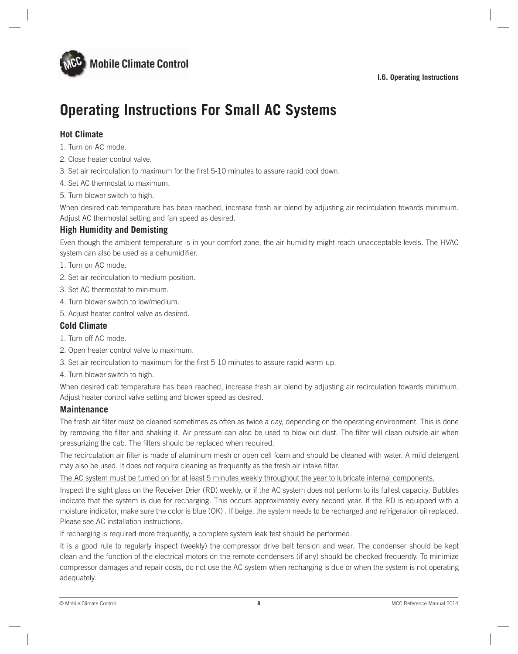

# **Operating Instructions For Small AC Systems**

### **Hot Climate**

- 1. Turn on AC mode.
- 2. Close heater control valve.
- 3. Set air recirculation to maximum for the first 5-10 minutes to assure rapid cool down.
- 4. Set AC thermostat to maximum.
- 5. Turn blower switch to high.

When desired cab temperature has been reached, increase fresh air blend by adjusting air recirculation towards minimum. Adjust AC thermostat setting and fan speed as desired.

### **High Humidity and Demisting**

Even though the ambient temperature is in your comfort zone, the air humidity might reach unacceptable levels. The HVAC system can also be used as a dehumidifier.

- 1. Turn on AC mode.
- 2. Set air recirculation to medium position.
- 3. Set AC thermostat to minimum.
- 4. Turn blower switch to low/medium.
- 5. Adjust heater control valve as desired.

### **Cold Climate**

- 1. Turn off AC mode.
- 2. Open heater control valve to maximum.
- 3. Set air recirculation to maximum for the first 5-10 minutes to assure rapid warm-up.
- 4. Turn blower switch to high.

When desired cab temperature has been reached, increase fresh air blend by adjusting air recirculation towards minimum. Adjust heater control valve setting and blower speed as desired.

### **Maintenance**

The fresh air filter must be cleaned sometimes as often as twice a day, depending on the operating environment. This is done by removing the filter and shaking it. Air pressure can also be used to blow out dust. The filter will clean outside air when pressurizing the cab. The filters should be replaced when required.

The recirculation air filter is made of aluminum mesh or open cell foam and should be cleaned with water. A mild detergent may also be used. It does not require cleaning as frequently as the fresh air intake filter.

The AC system must be turned on for at least 5 minutes weekly throughout the year to lubricate internal components.

Inspect the sight glass on the Receiver Drier (RD) weekly, or if the AC system does not perform to its fullest capacity, Bubbles indicate that the system is due for recharging. This occurs approximately every second year. If the RD is equipped with a moisture indicator, make sure the color is blue (OK) . If beige, the system needs to be recharged and refrigeration oil replaced. Please see AC installation instructions.

If recharging is required more frequently, a complete system leak test should be performed.

It is a good rule to regularly inspect (weekly) the compressor drive belt tension and wear. The condenser should be kept clean and the function of the electrical motors on the remote condensers (if any) should be checked frequently. To minimize compressor damages and repair costs, do not use the AC system when recharging is due or when the system is not operating adequately.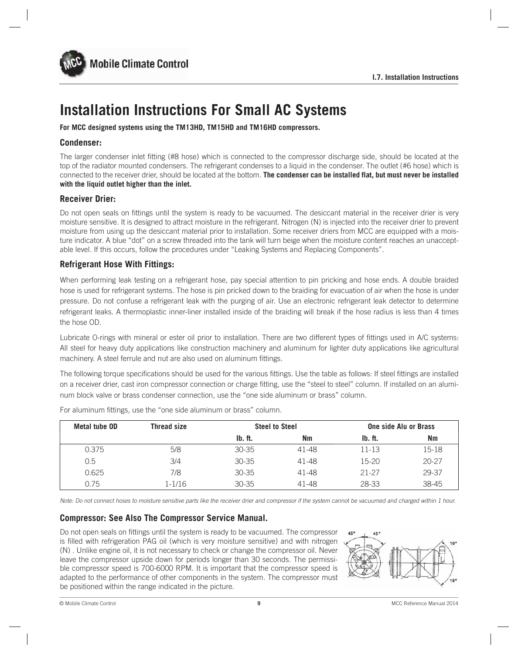

# **Installation Instructions For Small AC Systems**

**For MCC designed systems using the TM13HD, TM15HD and TM16HD compressors.**

### **Condenser:**

The larger condenser inlet fitting (#8 hose) which is connected to the compressor discharge side, should be located at the top of the radiator mounted condensers. The refrigerant condenses to a liquid in the condenser. The outlet (#6 hose) which is connected to the receiver drier, should be located at the bottom. **The condenser can be installed flat, but must never be installed with the liquid outlet higher than the inlet.**

### **Receiver Drier:**

Do not open seals on fittings until the system is ready to be vacuumed. The desiccant material in the receiver drier is very moisture sensitive. It is designed to attract moisture in the refrigerant. Nitrogen (N) is injected into the receiver drier to prevent moisture from using up the desiccant material prior to installation. Some receiver driers from MCC are equipped with a moisture indicator. A blue "dot" on a screw threaded into the tank will turn beige when the moisture content reaches an unacceptable level. If this occurs, follow the procedures under "Leaking Systems and Replacing Components".

### **Refrigerant Hose With Fittings:**

When performing leak testing on a refrigerant hose, pay special attention to pin pricking and hose ends. A double braided hose is used for refrigerant systems. The hose is pin pricked down to the braiding for evacuation of air when the hose is under pressure. Do not confuse a refrigerant leak with the purging of air. Use an electronic refrigerant leak detector to determine refrigerant leaks. A thermoplastic inner-liner installed inside of the braiding will break if the hose radius is less than 4 times the hose OD.

Lubricate O-rings with mineral or ester oil prior to installation. There are two different types of fittings used in A/C systems: All steel for heavy duty applications like construction machinery and aluminum for lighter duty applications like agricultural machinery. A steel ferrule and nut are also used on aluminum fittings.

The following torque specifications should be used for the various fittings. Use the table as follows: If steel fittings are installed on a receiver drier, cast iron compressor connection or charge fitting, use the "steel to steel" column. If installed on an aluminum block valve or brass condenser connection, use the "one side aluminum or brass" column.

| Metal tube OD | <b>Thread size</b> | <b>Steel to Steel</b> |           | One side Alu or Brass |           |  |
|---------------|--------------------|-----------------------|-----------|-----------------------|-----------|--|
|               |                    | Ib. ft.               | <b>Nm</b> | Ib. ft.               | <b>Nm</b> |  |
| 0.375         | 5/8                | $30 - 35$             | 41-48     | 11-13                 | 15-18     |  |
| 0.5           | 3/4                | $30 - 35$             | 41-48     | 15-20                 | $20 - 27$ |  |
| 0.625         | 7/8                | $30 - 35$             | 41-48     | 21-27                 | 29-37     |  |
| 0.75          | 1-1/16             | $30 - 35$             | 41-48     | 28-33                 | 38-45     |  |

For aluminum fittings, use the "one side aluminum or brass" column.

Note: Do not connect hoses to moisture sensitive parts like the receiver drier and compressor if the system cannot be vacuumed and charged within 1 hour.

### **Compressor: See Also The Compressor Service Manual.**

Do not open seals on fittings until the system is ready to be vacuumed. The compressor is filled with refrigeration PAG oil (which is very moisture sensitive) and with nitrogen (N) . Unlike engine oil, it is not necessary to check or change the compressor oil. Never leave the compressor upside down for periods longer than 30 seconds. The permissible compressor speed is 700-6000 RPM. It is important that the compressor speed is adapted to the performance of other components in the system. The compressor must be positioned within the range indicated in the picture.

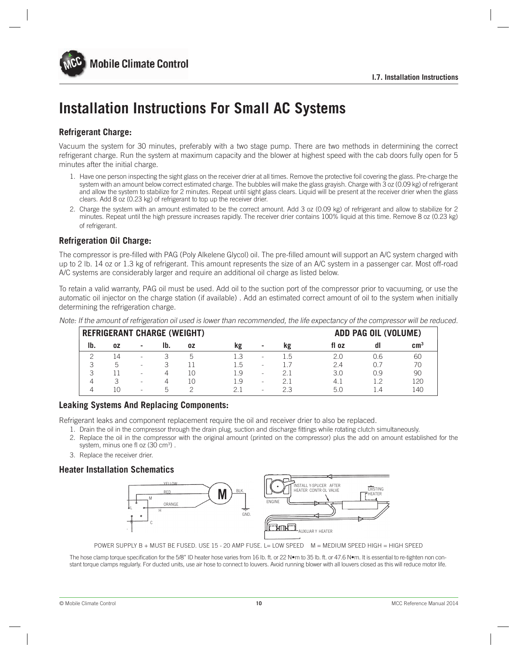

# **Installation Instructions For Small AC Systems**

### **Refrigerant Charge:**

Vacuum the system for 30 minutes, preferably with a two stage pump. There are two methods in determining the correct refrigerant charge. Run the system at maximum capacity and the blower at highest speed with the cab doors fully open for 5 minutes after the initial charge.

- 1. Have one person inspecting the sight glass on the receiver drier at all times. Remove the protective foil covering the glass. Pre-charge the system with an amount below correct estimated charge. The bubbles will make the glass grayish. Charge with 3 oz (0.09 kg) of refrigerant and allow the system to stabilize for 2 minutes. Repeat until sight glass clears. Liquid will be present at the receiver drier when the glass clears. Add 8 oz (0.23 kg) of refrigerant to top up the receiver drier.
- 2. Charge the system with an amount estimated to be the correct amount. Add 3 oz (0.09 kg) of refrigerant and allow to stabilize for 2 minutes. Repeat until the high pressure increases rapidly. The receiver drier contains 100% liquid at this time. Remove 8 oz (0.23 kg) of refrigerant.

### **Refrigeration Oil Charge:**

The compressor is pre-filled with PAG (Poly Alkelene Glycol) oil. The pre-filled amount will support an A/C system charged with up to 2 lb. 14 oz or 1.3 kg of refrigerant. This amount represents the size of an A/C system in a passenger car. Most off-road A/C systems are considerably larger and require an additional oil charge as listed below.

To retain a valid warranty, PAG oil must be used. Add oil to the suction port of the compressor prior to vacuuming, or use the automatic oil injector on the charge station (if available) . Add an estimated correct amount of oil to the system when initially determining the refrigeration charge.

| -                                  |    |                          |            |    |      |                          |     |                      |            |                 |  |
|------------------------------------|----|--------------------------|------------|----|------|--------------------------|-----|----------------------|------------|-----------------|--|
| <b>REFRIGERANT CHARGE (WEIGHT)</b> |    |                          |            |    |      |                          |     | ADD PAG OIL (VOLUME) |            |                 |  |
| I <sub>b</sub>                     | 0Z | ٠                        | Ib.        | 0Z | kg   | $\,$                     | kg  | fl oz                | dl         | cm <sup>3</sup> |  |
|                                    | 14 | $\overline{\phantom{a}}$ |            | b  | L.3  | ۰                        | 1.5 | 2.0                  | 0.6        | 60              |  |
|                                    | b  | $\overline{\phantom{a}}$ |            |    | L.b  | $\overline{\phantom{0}}$ |     | 2.4                  | $()_{.} /$ | 70              |  |
|                                    | -1 | -                        | 4          | 10 | l .9 | ۰                        |     | 3.0                  | 0.9        | 90              |  |
| $\Delta$                           | 3  | $\overline{\phantom{a}}$ | $\Delta$   | 10 | l .9 | ۰                        |     | 4.1                  | 1 つ        | 120             |  |
|                                    | 10 | -                        | $\sqrt{2}$ |    |      | ۰                        | 2.3 | 5.0                  | $\Box$     | 140             |  |

Note: If the amount of refrigeration oil used is lower than recommended, the life expectancy of the compressor will be reduced.

### **Leaking Systems And Replacing Components:**

Refrigerant leaks and component replacement require the oil and receiver drier to also be replaced.

- 1. Drain the oil in the compressor through the drain plug, suction and discharge fittings while rotating clutch simultaneously.
- 2. Replace the oil in the compressor with the original amount (printed on the compressor) plus the add on amount established for the system, minus one fl oz (30 cm<sup>3</sup>).
- 3. Replace the receiver drier.

### **Heater Installation Schematics**



POWER SUPPLY B + MUST BE FUSED. USE 15 - 20 AMP FUSE. L= LOW SPEED M = MEDIUM SPEED HIGH = HIGH SPEED

The hose clamp torque specification for the 5/8" ID heater hose varies from 16 lb. ft. or 22 N•m to 35 lb. ft. or 47.6 N•m. It is essential to re-tighten non constant torque clamps regularly. For ducted units, use air hose to connect to louvers. Avoid running blower with all louvers closed as this will reduce motor life.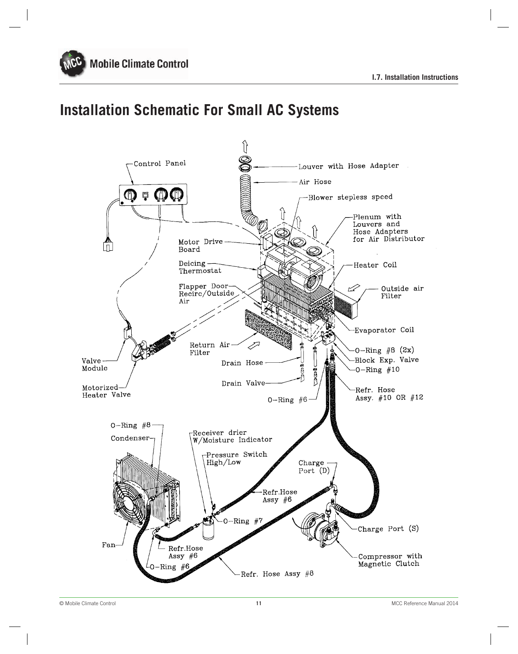

# **Installation Schematic For Small AC Systems**

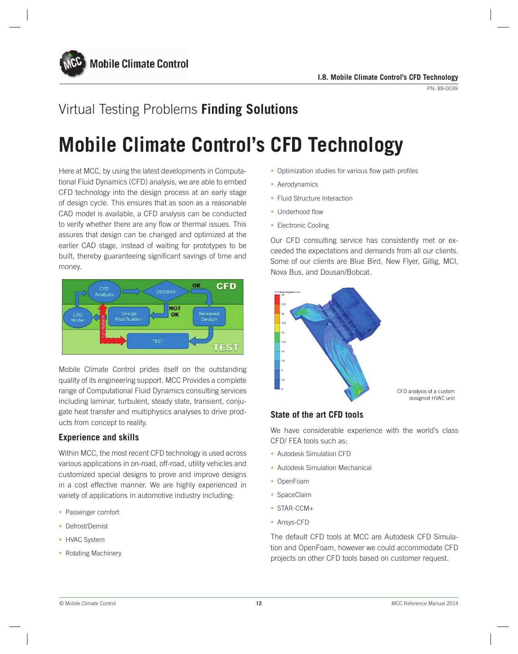

# Virtual Testing Problems **Finding Solutions**

# **Mobile Climate Control's CFD Technology**

Here at MCC, by using the latest developments in Computational Fluid Dynamics (CFD) analysis, we are able to embed CFD technology into the design process at an early stage of design cycle. This ensures that as soon as a reasonable CAD model is available, a CFD analysis can be conducted to verify whether there are any flow or thermal issues. This assures that design can be changed and optimized at the earlier CAD stage, instead of waiting for prototypes to be built, thereby guaranteeing significant savings of time and money.



Mobile Climate Control prides itself on the outstanding quality of its engineering support. MCC Provides a complete range of Computational Fluid Dynamics consulting services including laminar, turbulent, steady state, transient, conjugate heat transfer and multiphysics analyses to drive products from concept to reality.

### **Experience and skills**

Within MCC, the most recent CFD technology is used across various applications in on-road, off-road, utility vehicles and customized special designs to prove and improve designs in a cost effective manner. We are highly experienced in variety of applications in automotive industry including:

- Passenger comfort
- Defrost/Demist
- HVAC System
- Rotating Machinery
- Optimization studies for various flow path profiles
- Aerodynamics
- Fluid Structure Interaction
- Underhood flow
- Electronic Cooling

Our CFD consulting service has consistently met or exceeded the expectations and demands from all our clients. Some of our clients are Blue Bird, New Flyer, Gillig, MCI, Nova Bus, and Dousan/Bobcat.



CFD analysis of a custom designed HVAC unit

### **State of the art CFD tools**

We have considerable experience with the world's class CFD/ FEA tools such as:

- Autodesk Simulation CFD
- Autodesk Simulation Mechanical
- OpenFoam
- SpaceClaim
- STAR-CCM+
- Ansys-CFD

The default CFD tools at MCC are Autodesk CFD Simulation and OpenFoam, however we could accommodate CFD projects on other CFD tools based on customer request.